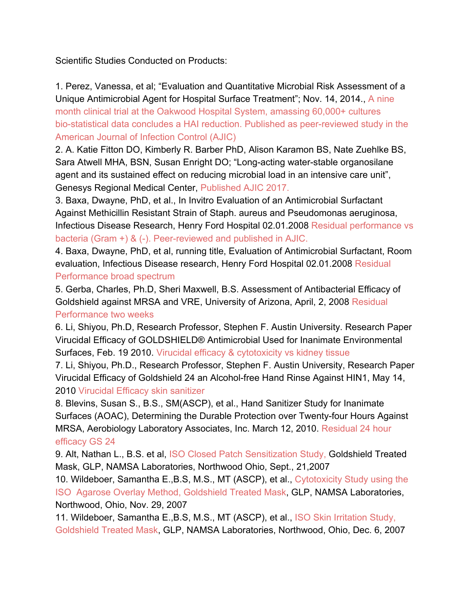Scientific Studies Conducted on Products:

1. Perez, Vanessa, et al; "Evaluation and Quantitative Microbial Risk Assessment of a Unique Antimicrobial Agent for Hospital Surface Treatment"; Nov. 14, 2014., A nine month clinical trial at the Oakwood Hospital System, amassing 60,000+ cultures bio-statistical data concludes a HAI reduction. Published as peer-reviewed study in the American Journal of Infection Control (AJIC)

2. A. Katie Fitton DO, Kimberly R. Barber PhD, Alison Karamon BS, Nate Zuehlke BS, Sara Atwell MHA, BSN, Susan Enright DO; "Long-acting water-stable organosilane agent and its sustained effect on reducing microbial load in an intensive care unit", Genesys Regional Medical Center, Published AJIC 2017.

3. Baxa, Dwayne, PhD, et al., In Invitro Evaluation of an Antimicrobial Surfactant Against Methicillin Resistant Strain of Staph. aureus and Pseudomonas aeruginosa, Infectious Disease Research, Henry Ford Hospital 02.01.2008 Residual performance vs bacteria (Gram +) & (-). Peer-reviewed and published in AJIC.

4. Baxa, Dwayne, PhD, et al, running title, Evaluation of Antimicrobial Surfactant, Room evaluation, Infectious Disease research, Henry Ford Hospital 02.01.2008 Residual Performance broad spectrum

5. Gerba, Charles, Ph.D, Sheri Maxwell, B.S. Assessment of Antibacterial Efficacy of Goldshield against MRSA and VRE, University of Arizona, April, 2, 2008 Residual Performance two weeks

6. Li, Shiyou, Ph.D, Research Professor, Stephen F. Austin University. Research Paper Virucidal Efficacy of GOLDSHIELD® Antimicrobial Used for Inanimate Environmental Surfaces, Feb. 19 2010. Virucidal efficacy & cytotoxicity vs kidney tissue

7. Li, Shiyou, Ph.D., Research Professor, Stephen F. Austin University, Research Paper Virucidal Efficacy of Goldshield 24 an Alcohol-free Hand Rinse Against HIN1, May 14, 2010 Virucidal Efficacy skin sanitizer

8. Blevins, Susan S., B.S., SM(ASCP), et al., Hand Sanitizer Study for Inanimate Surfaces (AOAC), Determining the Durable Protection over Twenty-four Hours Against MRSA, Aerobiology Laboratory Associates, Inc. March 12, 2010. Residual 24 hour efficacy GS 24

9. Alt, Nathan L., B.S. et al, ISO Closed Patch Sensitization Study, Goldshield Treated Mask, GLP, NAMSA Laboratories, Northwood Ohio, Sept., 21,2007

10. Wildeboer, Samantha E.,B.S, M.S., MT (ASCP), et al., Cytotoxicity Study using the ISO Agarose Overlay Method, Goldshield Treated Mask, GLP, NAMSA Laboratories, Northwood, Ohio, Nov. 29, 2007

11. Wildeboer, Samantha E.,B.S, M.S., MT (ASCP), et al., ISO Skin Irritation Study, Goldshield Treated Mask, GLP, NAMSA Laboratories, Northwood, Ohio, Dec. 6, 2007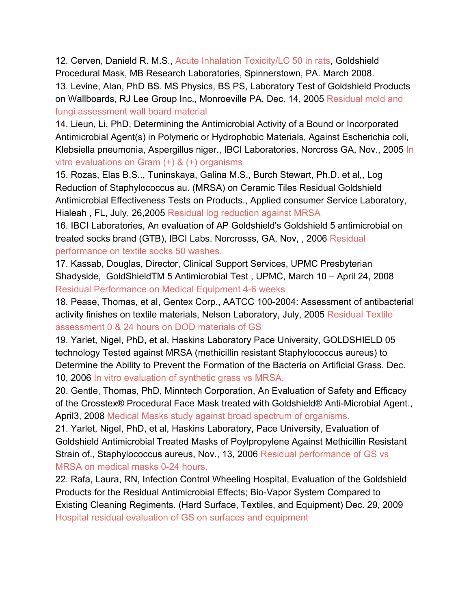12. Cerven, Danield R. M.S., Acute Inhalation Toxicity/LC 50 in rats, Goldshield Procedural Mask, MB Research Laboratories, Spinnerstown, PA. March 2008. 13. Levine, Alan, PhD BS. MS Physics, BS PS, Laboratory Test of Goldshield Products on Wallboards, RJ Lee Group Inc., Monroeville PA, Dec. 14, 2005 Residual mold and fungi assessment wall board material

14. Lieun, Li, PhD, Determining the Antimicrobial Activity of a Bound or Incorporated Antimicrobial Agent(s) in Polymeric or Hydrophobic Materials, Against Escherichia coli, Klebsiella pneumonia, Aspergillus niger., IBCI Laboratories, Norcross GA, Nov., 2005 In vitro evaluations on Gram (+) & (+) organisms

15. Rozas, Elas B.S.., Tuninskaya, Galina M.S., Burch Stewart, Ph.D. et al,, Log Reduction of Staphylococcus au. (MRSA) on Ceramic Tiles Residual Goldshield Antimicrobial Effectiveness Tests on Products., Applied consumer Service Laboratory, Hialeah , FL, July, 26,2005 Residual log reduction against MRSA

16. IBCI Laboratories, An evaluation of AP Goldshield's Goldshield 5 antimicrobial on treated socks brand (GTB), IBCI Labs. Norcrosss, GA, Nov, , 2006 Residual performance on textile socks 50 washes.

17. Kassab, Douglas, Director, Clinical Support Services, UPMC Presbyterian Shadyside, GoldShieldTM 5 Antimicrobial Test , UPMC, March 10 – April 24, 2008 Residual Performance on Medical Equipment 4-6 weeks

18. Pease, Thomas, et al, Gentex Corp., AATCC 100-2004: Assessment of antibacterial activity finishes on textile materials, Nelson Laboratory, July, 2005 Residual Textile assessment 0 & 24 hours on DOD materials of GS

19. Yarlet, Nigel, PhD, et al, Haskins Laboratory Pace University, GOLDSHIELD 05 technology Tested against MRSA (methicillin resistant Staphylococcus aureus) to Determine the Ability to Prevent the Formation of the Bacteria on Artificial Grass. Dec. 10, 2006 In vitro evaluation of synthetic grass vs MRSA.

20. Gentle, Thomas, PhD, Minntech Corporation, An Evaluation of Safety and Efficacy of the Crosstex® Procedural Face Mask treated with Goldshield® Anti-Microbial Agent., April3, 2008 Medical Masks study against broad spectrum of organisms.

21. Yarlet, Nigel, PhD, et al, Haskins Laboratory, Pace University, Evaluation of Goldshield Antimicrobial Treated Masks of Poylpropylene Against Methicillin Resistant Strain of., Staphylococcus aureus, Nov., 13, 2006 Residual performance of GS vs MRSA on medical masks 0-24 hours.

22. Rafa, Laura, RN, Infection Control Wheeling Hospital, Evaluation of the Goldshield Products for the Residual Antimicrobial Effects; Bio-Vapor System Compared to Existing Cleaning Regiments. (Hard Surface, Textiles, and Equipment) Dec. 29, 2009 Hospital residual evaluation of GS on surfaces and equipment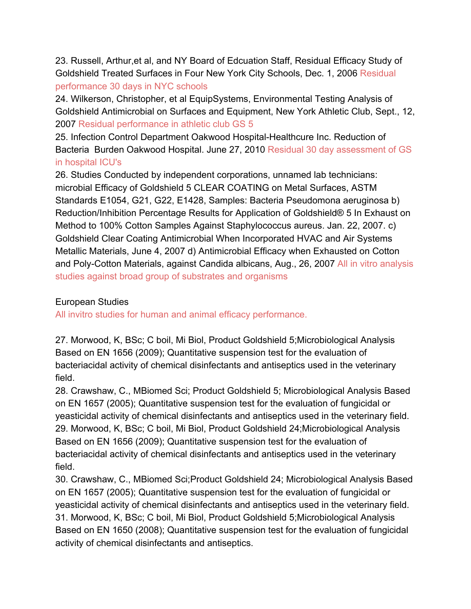23. Russell, Arthur,et al, and NY Board of Edcuation Staff, Residual Efficacy Study of Goldshield Treated Surfaces in Four New York City Schools, Dec. 1, 2006 Residual performance 30 days in NYC schools

24. Wilkerson, Christopher, et al EquipSystems, Environmental Testing Analysis of Goldshield Antimicrobial on Surfaces and Equipment, New York Athletic Club, Sept., 12, 2007 Residual performance in athletic club GS 5

25. Infection Control Department Oakwood Hospital-Healthcure Inc. Reduction of Bacteria Burden Oakwood Hospital. June 27, 2010 Residual 30 day assessment of GS in hospital ICU's

26. Studies Conducted by independent corporations, unnamed lab technicians: microbial Efficacy of Goldshield 5 CLEAR COATING on Metal Surfaces, ASTM Standards E1054, G21, G22, E1428, Samples: Bacteria Pseudomona aeruginosa b) Reduction/Inhibition Percentage Results for Application of Goldshield® 5 In Exhaust on Method to 100% Cotton Samples Against Staphylococcus aureus. Jan. 22, 2007. c) Goldshield Clear Coating Antimicrobial When Incorporated HVAC and Air Systems Metallic Materials, June 4, 2007 d) Antimicrobial Efficacy when Exhausted on Cotton and Poly-Cotton Materials, against Candida albicans, Aug., 26, 2007 All in vitro analysis studies against broad group of substrates and organisms

## European Studies

All invitro studies for human and animal efficacy performance.

27. Morwood, K, BSc; C boil, Mi Biol, Product Goldshield 5;Microbiological Analysis Based on EN 1656 (2009); Quantitative suspension test for the evaluation of bacteriacidal activity of chemical disinfectants and antiseptics used in the veterinary field.

28. Crawshaw, C., MBiomed Sci; Product Goldshield 5; Microbiological Analysis Based on EN 1657 (2005); Quantitative suspension test for the evaluation of fungicidal or yeasticidal activity of chemical disinfectants and antiseptics used in the veterinary field. 29. Morwood, K, BSc; C boil, Mi Biol, Product Goldshield 24;Microbiological Analysis Based on EN 1656 (2009); Quantitative suspension test for the evaluation of bacteriacidal activity of chemical disinfectants and antiseptics used in the veterinary field.

30. Crawshaw, C., MBiomed Sci;Product Goldshield 24; Microbiological Analysis Based on EN 1657 (2005); Quantitative suspension test for the evaluation of fungicidal or yeasticidal activity of chemical disinfectants and antiseptics used in the veterinary field. 31. Morwood, K, BSc; C boil, Mi Biol, Product Goldshield 5;Microbiological Analysis Based on EN 1650 (2008); Quantitative suspension test for the evaluation of fungicidal activity of chemical disinfectants and antiseptics.